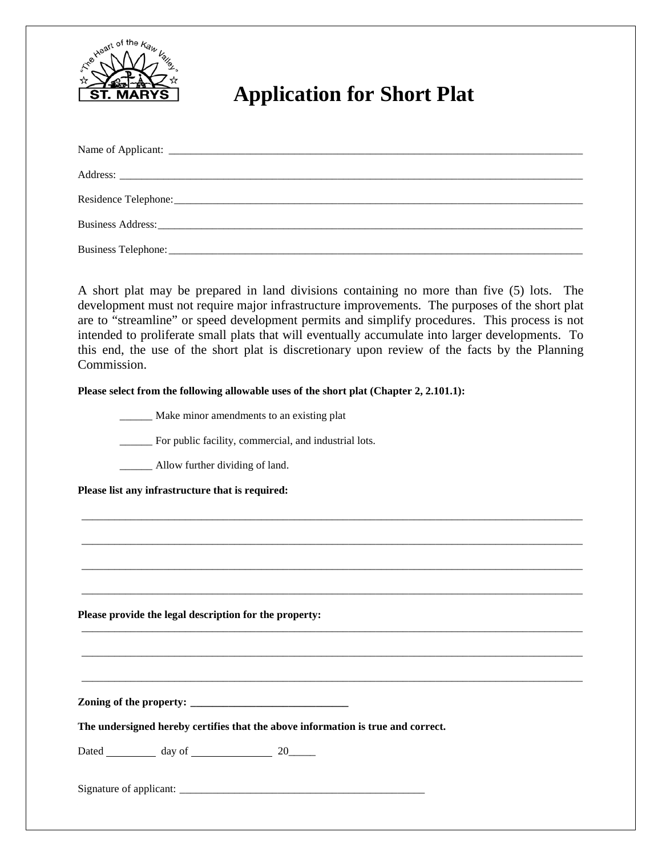

## **Application for Short Plat**

A short plat may be prepared in land divisions containing no more than five (5) lots. The development must not require major infrastructure improvements. The purposes of the short plat are to "streamline" or speed development permits and simplify procedures. This process is not intended to proliferate small plats that will eventually accumulate into larger developments. To this end, the use of the short plat is discretionary upon review of the facts by the Planning Commission.

\_\_\_\_\_\_\_\_\_\_\_\_\_\_\_\_\_\_\_\_\_\_\_\_\_\_\_\_\_\_\_\_\_\_\_\_\_\_\_\_\_\_\_\_\_\_\_\_\_\_\_\_\_\_\_\_\_\_\_\_\_\_\_\_\_\_\_\_\_\_\_\_\_\_\_\_\_\_\_\_\_\_\_\_\_\_\_\_\_\_\_\_

\_\_\_\_\_\_\_\_\_\_\_\_\_\_\_\_\_\_\_\_\_\_\_\_\_\_\_\_\_\_\_\_\_\_\_\_\_\_\_\_\_\_\_\_\_\_\_\_\_\_\_\_\_\_\_\_\_\_\_\_\_\_\_\_\_\_\_\_\_\_\_\_\_\_\_\_\_\_\_\_\_\_\_\_\_\_\_\_\_\_\_\_

\_\_\_\_\_\_\_\_\_\_\_\_\_\_\_\_\_\_\_\_\_\_\_\_\_\_\_\_\_\_\_\_\_\_\_\_\_\_\_\_\_\_\_\_\_\_\_\_\_\_\_\_\_\_\_\_\_\_\_\_\_\_\_\_\_\_\_\_\_\_\_\_\_\_\_\_\_\_\_\_\_\_\_\_\_\_\_\_\_\_\_\_

\_\_\_\_\_\_\_\_\_\_\_\_\_\_\_\_\_\_\_\_\_\_\_\_\_\_\_\_\_\_\_\_\_\_\_\_\_\_\_\_\_\_\_\_\_\_\_\_\_\_\_\_\_\_\_\_\_\_\_\_\_\_\_\_\_\_\_\_\_\_\_\_\_\_\_\_\_\_\_\_\_\_\_\_\_\_\_\_\_\_\_\_

\_\_\_\_\_\_\_\_\_\_\_\_\_\_\_\_\_\_\_\_\_\_\_\_\_\_\_\_\_\_\_\_\_\_\_\_\_\_\_\_\_\_\_\_\_\_\_\_\_\_\_\_\_\_\_\_\_\_\_\_\_\_\_\_\_\_\_\_\_\_\_\_\_\_\_\_\_\_\_\_\_\_\_\_\_\_\_\_\_\_\_\_

\_\_\_\_\_\_\_\_\_\_\_\_\_\_\_\_\_\_\_\_\_\_\_\_\_\_\_\_\_\_\_\_\_\_\_\_\_\_\_\_\_\_\_\_\_\_\_\_\_\_\_\_\_\_\_\_\_\_\_\_\_\_\_\_\_\_\_\_\_\_\_\_\_\_\_\_\_\_\_\_\_\_\_\_\_\_\_\_\_\_\_\_

\_\_\_\_\_\_\_\_\_\_\_\_\_\_\_\_\_\_\_\_\_\_\_\_\_\_\_\_\_\_\_\_\_\_\_\_\_\_\_\_\_\_\_\_\_\_\_\_\_\_\_\_\_\_\_\_\_\_\_\_\_\_\_\_\_\_\_\_\_\_\_\_\_\_\_\_\_\_\_\_\_\_\_\_\_\_\_\_\_\_\_\_

Please select from the following allowable uses of the short plat (Chapter 2, 2.101.1):

\_\_\_\_\_\_ Make minor amendments to an existing plat

\_\_\_\_\_\_ For public facility, commercial, and industrial lots.

\_\_\_\_\_\_ Allow further dividing of land.

**Please list any infrastructure that is required:**

**Please provide the legal description for the property:** 

**Zoning of the property: \_\_\_\_\_\_\_\_\_\_\_\_\_\_\_\_\_\_\_\_\_\_\_\_\_\_\_\_\_**

**The undersigned hereby certifies that the above information is true and correct.**

Dated day of 20

Signature of applicant: \_\_\_\_\_\_\_\_\_\_\_\_\_\_\_\_\_\_\_\_\_\_\_\_\_\_\_\_\_\_\_\_\_\_\_\_\_\_\_\_\_\_\_\_\_